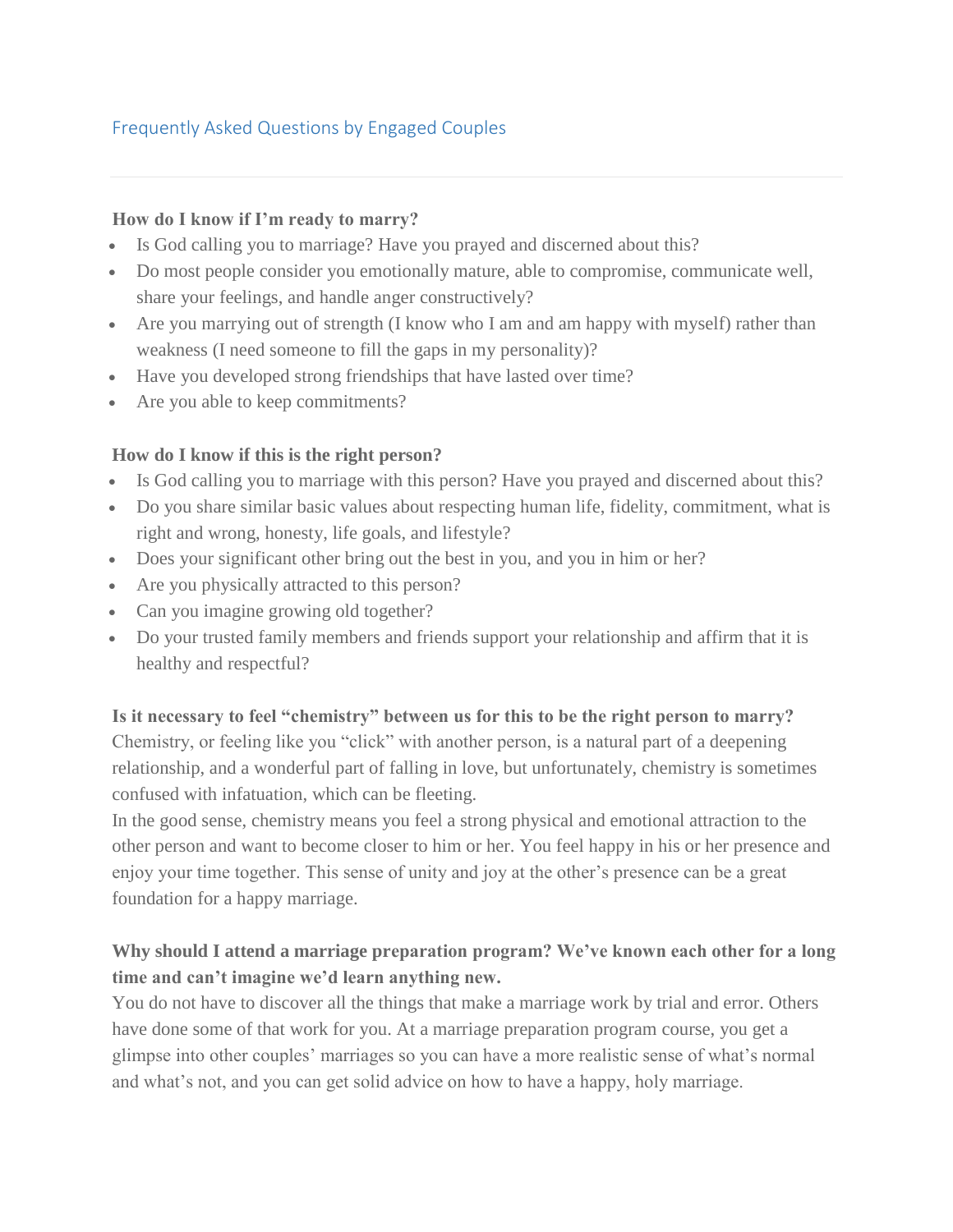### Frequently Asked Questions by Engaged Couples

### **How do I know if I'm ready to marry?**

- Is God calling you to marriage? Have you prayed and discerned about this?
- Do most people consider you emotionally mature, able to compromise, communicate well, share your feelings, and handle anger constructively?
- Are you marrying out of strength (I know who I am and am happy with myself) rather than weakness (I need someone to fill the gaps in my personality)?
- Have you developed strong friendships that have lasted over time?
- Are you able to keep commitments?

### **How do I know if this is the right person?**

- Is God calling you to marriage with this person? Have you prayed and discerned about this?
- Do you share similar basic values about respecting human life, fidelity, commitment, what is right and wrong, honesty, life goals, and lifestyle?
- Does your significant other bring out the best in you, and you in him or her?
- Are you physically attracted to this person?
- Can you imagine growing old together?
- Do your trusted family members and friends support your relationship and affirm that it is healthy and respectful?

### **Is it necessary to feel "chemistry" between us for this to be the right person to marry?**

Chemistry, or feeling like you "click" with another person, is a natural part of a deepening relationship, and a wonderful part of falling in love, but unfortunately, chemistry is sometimes confused with infatuation, which can be fleeting.

In the good sense, chemistry means you feel a strong physical and emotional attraction to the other person and want to become closer to him or her. You feel happy in his or her presence and enjoy your time together. This sense of unity and joy at the other's presence can be a great foundation for a happy marriage.

## **Why should I attend a marriage preparation program? We've known each other for a long time and can't imagine we'd learn anything new.**

You do not have to discover all the things that make a marriage work by trial and error. Others have done some of that work for you. At a marriage preparation program course, you get a glimpse into other couples' marriages so you can have a more realistic sense of what's normal and what's not, and you can get solid advice on how to have a happy, holy marriage.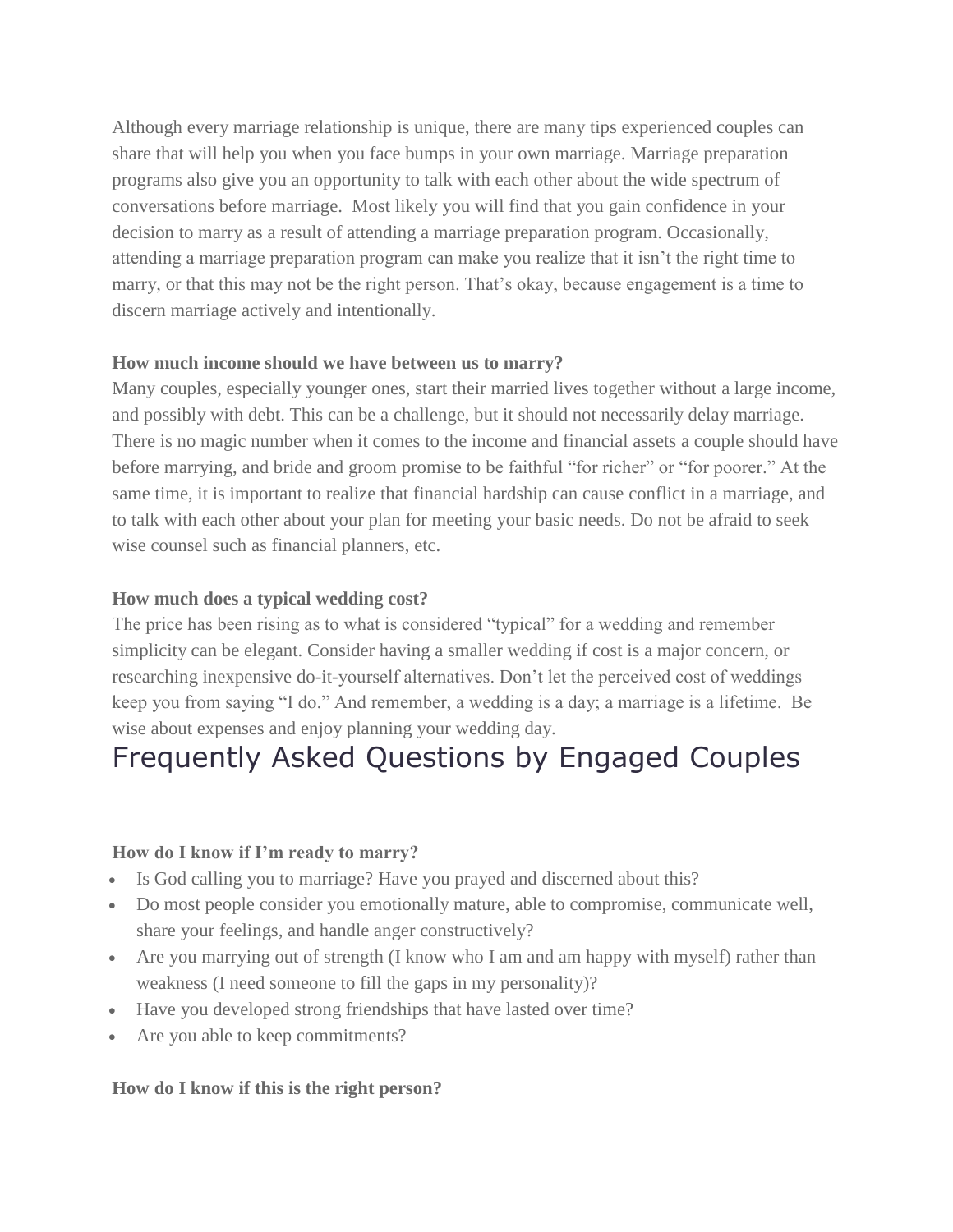Although every marriage relationship is unique, there are many tips experienced couples can share that will help you when you face bumps in your own marriage. Marriage preparation programs also give you an opportunity to talk with each other about the wide spectrum of conversations before marriage. Most likely you will find that you gain confidence in your decision to marry as a result of attending a marriage preparation program. Occasionally, attending a marriage preparation program can make you realize that it isn't the right time to marry, or that this may not be the right person. That's okay, because engagement is a time to discern marriage actively and intentionally.

### **How much income should we have between us to marry?**

Many couples, especially younger ones, start their married lives together without a large income, and possibly with debt. This can be a challenge, but it should not necessarily delay marriage. There is no magic number when it comes to the income and financial assets a couple should have before marrying, and bride and groom promise to be faithful "for richer" or "for poorer." At the same time, it is important to realize that financial hardship can cause conflict in a marriage, and to talk with each other about your plan for meeting your basic needs. Do not be afraid to seek wise counsel such as financial planners, etc.

### **How much does a typical wedding cost?**

The price has been rising as to what is considered "typical" for a wedding and remember simplicity can be elegant. Consider having a smaller wedding if cost is a major concern, or researching inexpensive do-it-yourself alternatives. Don't let the perceived cost of weddings keep you from saying "I do." And remember, a wedding is a day; a marriage is a lifetime. Be wise about expenses and enjoy planning your wedding day.

# Frequently Asked Questions by Engaged Couples

### **How do I know if I'm ready to marry?**

- Is God calling you to marriage? Have you prayed and discerned about this?
- Do most people consider you emotionally mature, able to compromise, communicate well, share your feelings, and handle anger constructively?
- Are you marrying out of strength (I know who I am and am happy with myself) rather than weakness (I need someone to fill the gaps in my personality)?
- Have you developed strong friendships that have lasted over time?
- Are you able to keep commitments?

### **How do I know if this is the right person?**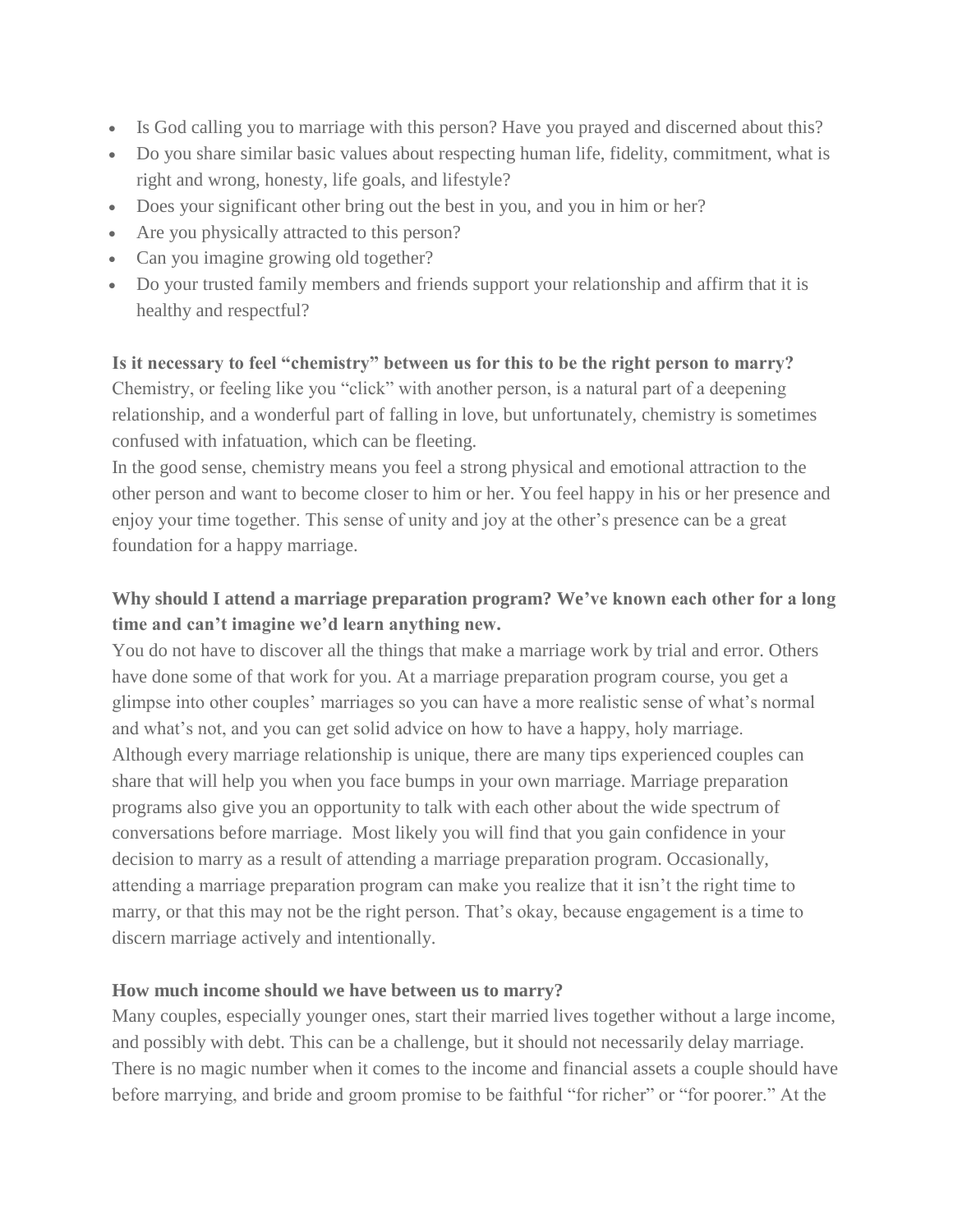- Is God calling you to marriage with this person? Have you prayed and discerned about this?
- Do you share similar basic values about respecting human life, fidelity, commitment, what is right and wrong, honesty, life goals, and lifestyle?
- Does your significant other bring out the best in you, and you in him or her?
- Are you physically attracted to this person?
- Can you imagine growing old together?
- Do your trusted family members and friends support your relationship and affirm that it is healthy and respectful?

#### **Is it necessary to feel "chemistry" between us for this to be the right person to marry?**

Chemistry, or feeling like you "click" with another person, is a natural part of a deepening relationship, and a wonderful part of falling in love, but unfortunately, chemistry is sometimes confused with infatuation, which can be fleeting.

In the good sense, chemistry means you feel a strong physical and emotional attraction to the other person and want to become closer to him or her. You feel happy in his or her presence and enjoy your time together. This sense of unity and joy at the other's presence can be a great foundation for a happy marriage.

# **Why should I attend a marriage preparation program? We've known each other for a long time and can't imagine we'd learn anything new.**

You do not have to discover all the things that make a marriage work by trial and error. Others have done some of that work for you. At a marriage preparation program course, you get a glimpse into other couples' marriages so you can have a more realistic sense of what's normal and what's not, and you can get solid advice on how to have a happy, holy marriage. Although every marriage relationship is unique, there are many tips experienced couples can share that will help you when you face bumps in your own marriage. Marriage preparation programs also give you an opportunity to talk with each other about the wide spectrum of conversations before marriage. Most likely you will find that you gain confidence in your decision to marry as a result of attending a marriage preparation program. Occasionally, attending a marriage preparation program can make you realize that it isn't the right time to marry, or that this may not be the right person. That's okay, because engagement is a time to discern marriage actively and intentionally.

### **How much income should we have between us to marry?**

Many couples, especially younger ones, start their married lives together without a large income, and possibly with debt. This can be a challenge, but it should not necessarily delay marriage. There is no magic number when it comes to the income and financial assets a couple should have before marrying, and bride and groom promise to be faithful "for richer" or "for poorer." At the